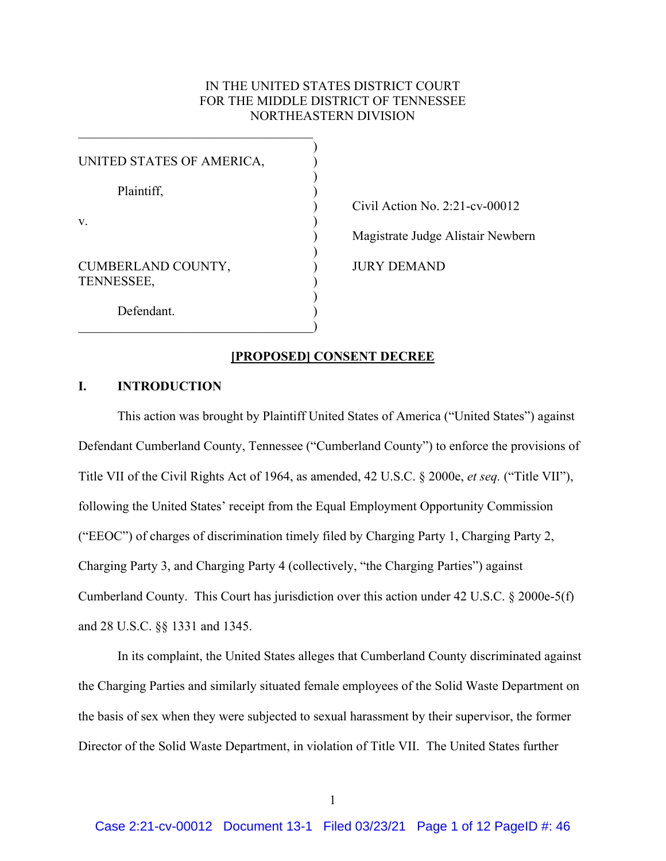# IN THE UNITED STATES DISTRICT COURT FOR THE MIDDLE DISTRICT OF TENNESSEE NORTHEASTERN DIVISION

 $\hspace{.5em}$   $\hspace{.5em}$   $\hspace{.5em}$   $\hspace{.5em}$   $\hspace{.5em}$   $\hspace{.5em}$   $\hspace{.5em}$   $\hspace{.5em}$   $\hspace{.5em}$   $\hspace{.5em}$   $\hspace{.5em}$   $\hspace{.5em}$   $\hspace{.5em}$   $\hspace{.5em}$   $\hspace{.5em}$   $\hspace{.5em}$   $\hspace{.5em}$   $\hspace{.5em}$   $\hspace{.5em}$   $\hspace{.5em}$ 

 $\overline{\phantom{a}}$ 

) Civil Action No. 2:21-cv-00012 ) Magistrate Judge Alistair Newbern JURY DEMAND

### **[PROPOSED] CONSENT DECREE**

# **I. INTRODUCTION**

 Charging Party 3, and Charging Party 4 (collectively, "the Charging Parties") against This action was brought by Plaintiff United States of America ("United States") against Defendant Cumberland County, Tennessee ("Cumberland County") to enforce the provisions of Title VII of the Civil Rights Act of 1964, as amended, 42 U.S.C. § 2000e, *et seq.* ("Title VII"), following the United States' receipt from the Equal Employment Opportunity Commission ("EEOC") of charges of discrimination timely filed by Charging Party 1, Charging Party 2, Cumberland County. This Court has jurisdiction over this action under 42 U.S.C. § 2000e-5(f) and 28 U.S.C. §§ 1331 and 1345.

 Director of the Solid Waste Department, in violation of Title VII. The United States further In its complaint, the United States alleges that Cumberland County discriminated against the Charging Parties and similarly situated female employees of the Solid Waste Department on the basis of sex when they were subjected to sexual harassment by their supervisor, the former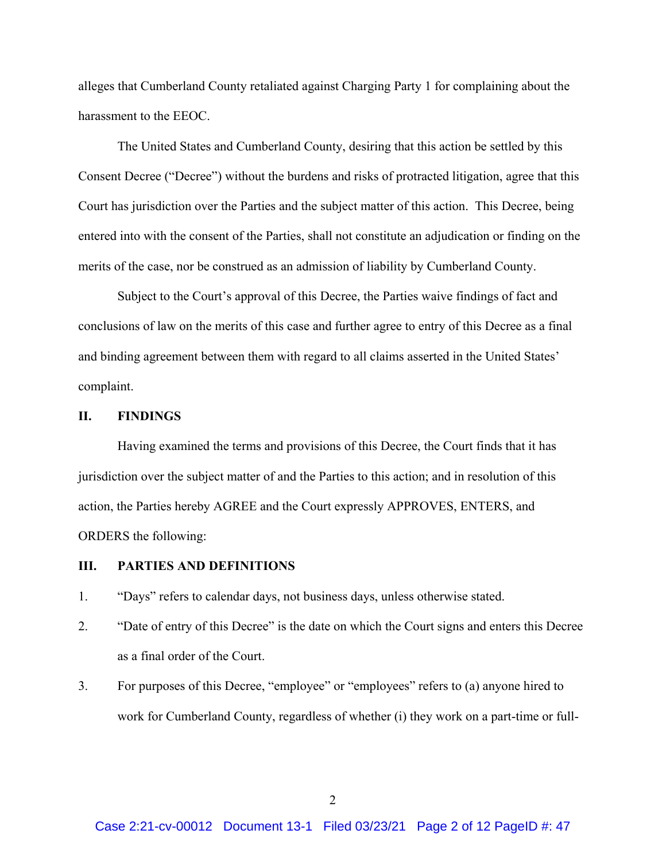harassment to the EEOC. alleges that Cumberland County retaliated against Charging Party 1 for complaining about the

 Consent Decree ("Decree") without the burdens and risks of protracted litigation, agree that this Court has jurisdiction over the Parties and the subject matter of this action. This Decree, being The United States and Cumberland County, desiring that this action be settled by this entered into with the consent of the Parties, shall not constitute an adjudication or finding on the merits of the case, nor be construed as an admission of liability by Cumberland County.

Subject to the Court's approval of this Decree, the Parties waive findings of fact and conclusions of law on the merits of this case and further agree to entry of this Decree as a final and binding agreement between them with regard to all claims asserted in the United States' complaint.

#### **II. FINDINGS**

Having examined the terms and provisions of this Decree, the Court finds that it has jurisdiction over the subject matter of and the Parties to this action; and in resolution of this action, the Parties hereby AGREE and the Court expressly APPROVES, ENTERS, and ORDERS the following:

#### **III. PARTIES AND DEFINITIONS**

- 1. "Days" refers to calendar days, not business days, unless otherwise stated.
- 2. "Date of entry of this Decree" is the date on which the Court signs and enters this Decree as a final order of the Court.
- 3. For purposes of this Decree, "employee" or "employees" refers to (a) anyone hired to work for Cumberland County, regardless of whether (i) they work on a part-time or full-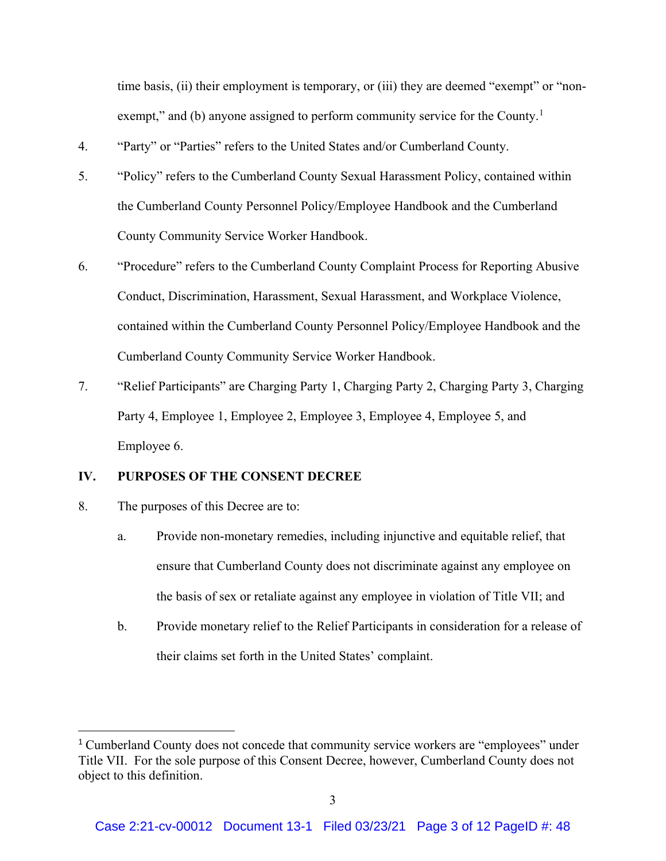exempt," and (b) anyone assigned to perform community service for the County.<sup>1</sup> time basis, (ii) their employment is temporary, or (iii) they are deemed "exempt" or "non-

- 4. "Party" or "Parties" refers to the United States and/or Cumberland County.
- 5. "Policy" refers to the Cumberland County Sexual Harassment Policy, contained within the Cumberland County Personnel Policy/Employee Handbook and the Cumberland County Community Service Worker Handbook.
- 6. "Procedure" refers to the Cumberland County Complaint Process for Reporting Abusive Conduct, Discrimination, Harassment, Sexual Harassment, and Workplace Violence, contained within the Cumberland County Personnel Policy/Employee Handbook and the Cumberland County Community Service Worker Handbook.
- 7. "Relief Participants" are Charging Party 1, Charging Party 2, Charging Party 3, Charging Party 4, Employee 1, Employee 2, Employee 3, Employee 4, Employee 5, and Employee 6.

# **IV. PURPOSES OF THE CONSENT DECREE**

8. The purposes of this Decree are to:

 $\overline{\phantom{a}}$ 

- a. Provide non-monetary remedies, including injunctive and equitable relief, that ensure that Cumberland County does not discriminate against any employee on the basis of sex or retaliate against any employee in violation of Title VII; and
- their claims set forth in the United States' complaint. b. Provide monetary relief to the Relief Participants in consideration for a release of

object to this definition.<br>3 <sup>1</sup> Cumberland County does not concede that community service workers are "employees" under Title VII. For the sole purpose of this Consent Decree, however, Cumberland County does not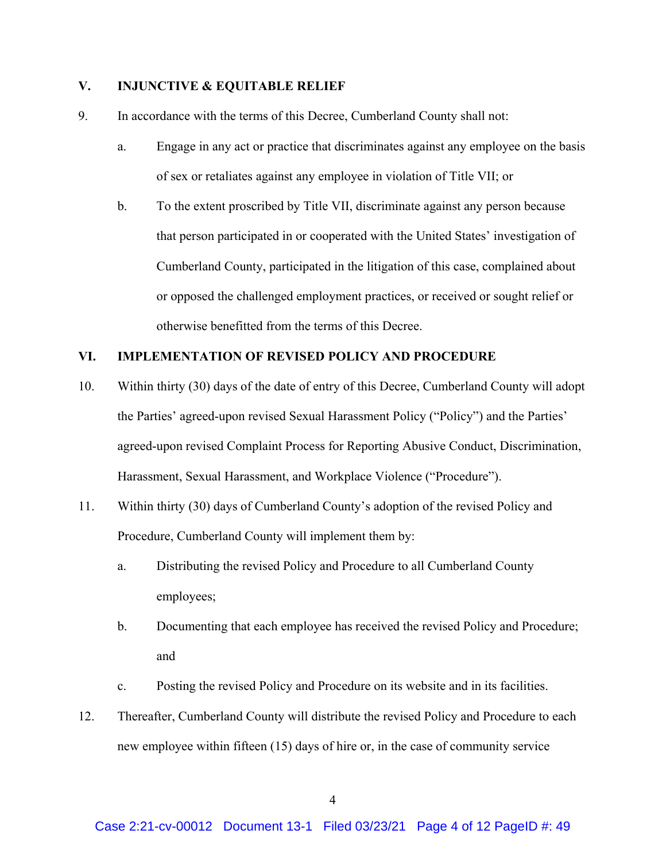## **V. INJUNCTIVE & EQUITABLE RELIEF**

- 9. In accordance with the terms of this Decree, Cumberland County shall not:
	- a. Engage in any act or practice that discriminates against any employee on the basis of sex or retaliates against any employee in violation of Title VII; or
	- that person participated in or cooperated with the United States' investigation of b. To the extent proscribed by Title VII, discriminate against any person because Cumberland County, participated in the litigation of this case, complained about or opposed the challenged employment practices, or received or sought relief or otherwise benefitted from the terms of this Decree.

# **VI. IMPLEMENTATION OF REVISED POLICY AND PROCEDURE**

- 10. Within thirty (30) days of the date of entry of this Decree, Cumberland County will adopt the Parties' agreed-upon revised Sexual Harassment Policy ("Policy") and the Parties' agreed-upon revised Complaint Process for Reporting Abusive Conduct, Discrimination, Harassment, Sexual Harassment, and Workplace Violence ("Procedure").
- 11. Within thirty (30) days of Cumberland County's adoption of the revised Policy and Procedure, Cumberland County will implement them by:
	- a. Distributing the revised Policy and Procedure to all Cumberland County employees;
	- b. Documenting that each employee has received the revised Policy and Procedure; and
	- c. Posting the revised Policy and Procedure on its website and in its facilities.
- 12. Thereafter, Cumberland County will distribute the revised Policy and Procedure to each new employee within fifteen (15) days of hire or, in the case of community service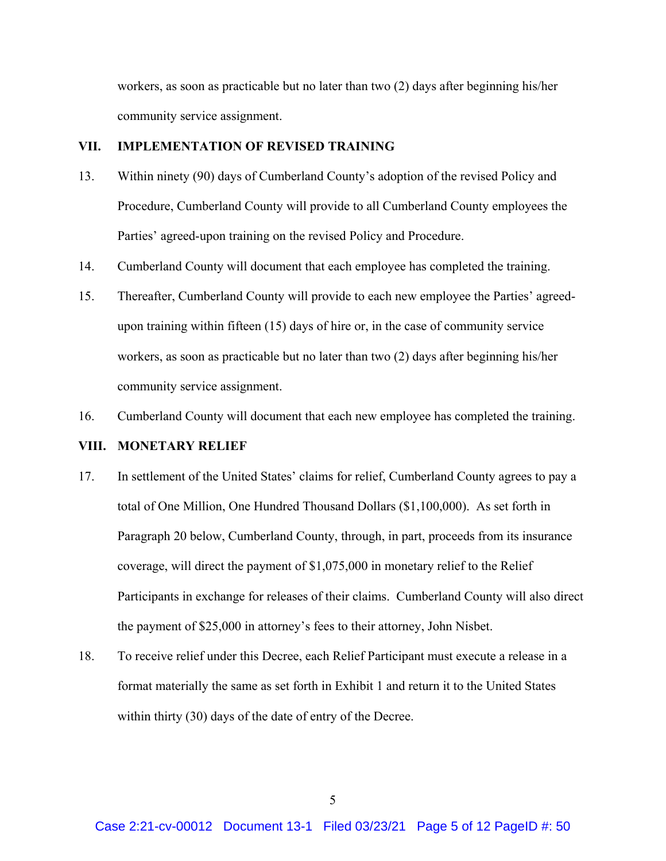workers, as soon as practicable but no later than two (2) days after beginning his/her community service assignment.

### **VII. IMPLEMENTATION OF REVISED TRAINING**

- 13. Within ninety (90) days of Cumberland County's adoption of the revised Policy and Procedure, Cumberland County will provide to all Cumberland County employees the Parties' agreed-upon training on the revised Policy and Procedure.
- 14. Cumberland County will document that each employee has completed the training.
- 15. Thereafter, Cumberland County will provide to each new employee the Parties' agreedupon training within fifteen (15) days of hire or, in the case of community service workers, as soon as practicable but no later than two (2) days after beginning his/her community service assignment.
- 16. Cumberland County will document that each new employee has completed the training.

### **VIII. MONETARY RELIEF**

- 17. In settlement of the United States' claims for relief, Cumberland County agrees to pay a total of One Million, One Hundred Thousand Dollars (\$1,100,000). As set forth in Paragraph 20 below, Cumberland County, through, in part, proceeds from its insurance coverage, will direct the payment of \$1,075,000 in monetary relief to the Relief Participants in exchange for releases of their claims. Cumberland County will also direct the payment of \$25,000 in attorney's fees to their attorney, John Nisbet.
- 18. To receive relief under this Decree, each Relief Participant must execute a release in a format materially the same as set forth in Exhibit 1 and return it to the United States within thirty (30) days of the date of entry of the Decree.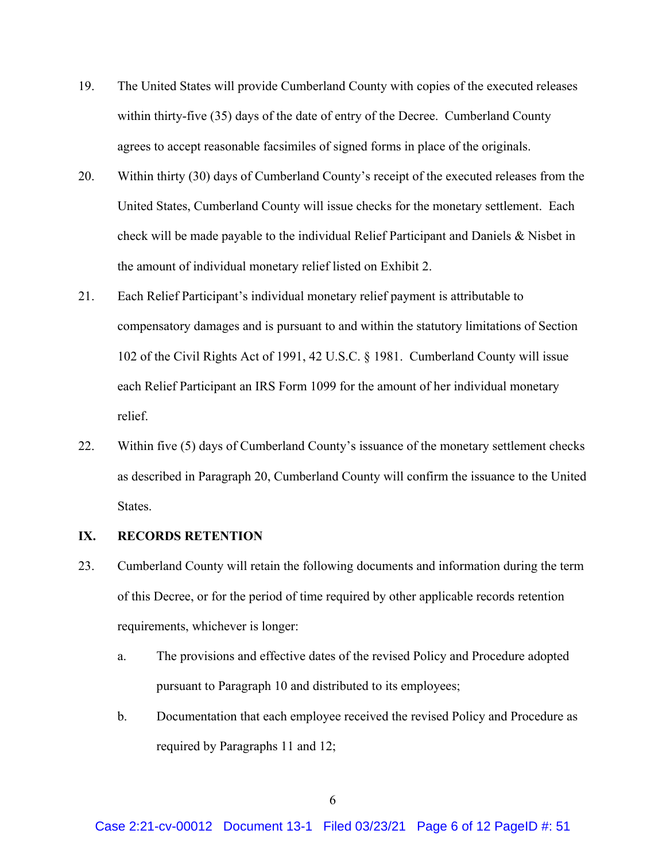- 19. The United States will provide Cumberland County with copies of the executed releases within thirty-five (35) days of the date of entry of the Decree. Cumberland County agrees to accept reasonable facsimiles of signed forms in place of the originals.
- 20. Within thirty (30) days of Cumberland County's receipt of the executed releases from the United States, Cumberland County will issue checks for the monetary settlement. Each check will be made payable to the individual Relief Participant and Daniels & Nisbet in the amount of individual monetary relief listed on Exhibit 2.
- 21. Each Relief Participant's individual monetary relief payment is attributable to 102 of the Civil Rights Act of 1991, 42 U.S.C. § 1981. Cumberland County will issue compensatory damages and is pursuant to and within the statutory limitations of Section each Relief Participant an IRS Form 1099 for the amount of her individual monetary relief.
- 22. Within five (5) days of Cumberland County's issuance of the monetary settlement checks as described in Paragraph 20, Cumberland County will confirm the issuance to the United States.

# **IX. RECORDS RETENTION**

- 23. Cumberland County will retain the following documents and information during the term of this Decree, or for the period of time required by other applicable records retention requirements, whichever is longer:
	- a. The provisions and effective dates of the revised Policy and Procedure adopted pursuant to Paragraph 10 and distributed to its employees;
	- required by Paragraphs 11 and 12; b. Documentation that each employee received the revised Policy and Procedure as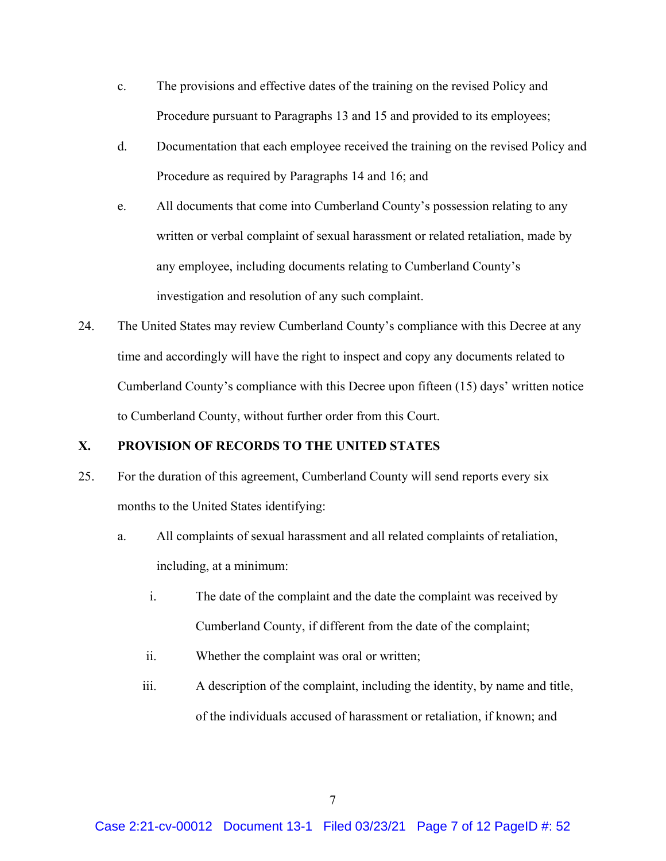- c. The provisions and effective dates of the training on the revised Policy and Procedure pursuant to Paragraphs 13 and 15 and provided to its employees;
- d. Documentation that each employee received the training on the revised Policy and Procedure as required by Paragraphs 14 and 16; and
- e. All documents that come into Cumberland County's possession relating to any written or verbal complaint of sexual harassment or related retaliation, made by any employee, including documents relating to Cumberland County's investigation and resolution of any such complaint.
- Cumberland County's compliance with this Decree upon fifteen (15) days' written notice 24. The United States may review Cumberland County's compliance with this Decree at any time and accordingly will have the right to inspect and copy any documents related to to Cumberland County, without further order from this Court.

# **X. PROVISION OF RECORDS TO THE UNITED STATES**

- 25. For the duration of this agreement, Cumberland County will send reports every six months to the United States identifying:
	- months to the United States identifying:<br>a. All complaints of sexual harassment and all related complaints of retaliation, including, at a minimum:
		- i. The date of the complaint and the date the complaint was received by Cumberland County, if different from the date of the complaint;
		- ii. Whether the complaint was oral or written;
		- iii. A description of the complaint, including the identity, by name and title, of the individuals accused of harassment or retaliation, if known; and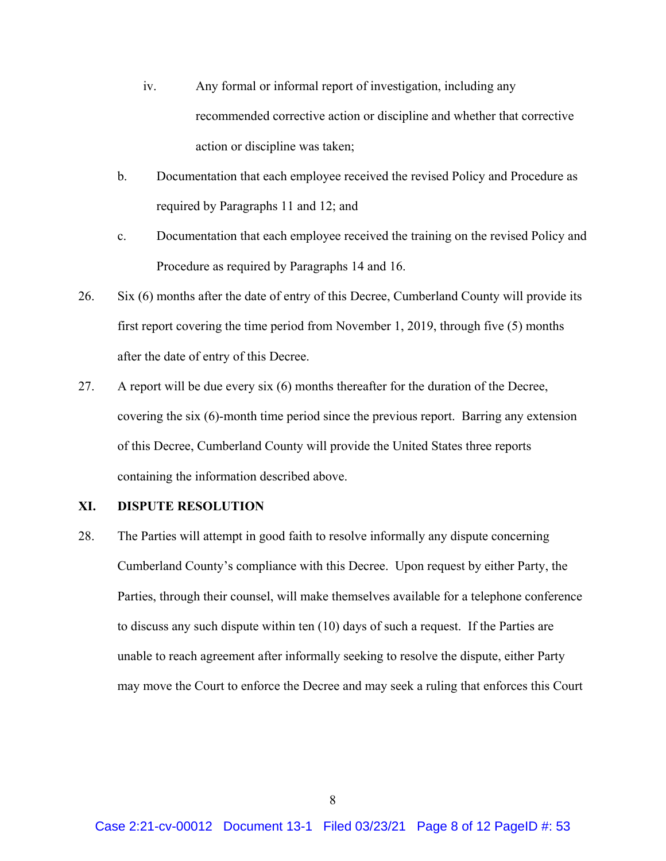- recommended corrective action or discipline and whether that corrective iv. Any formal or informal report of investigation, including any action or discipline was taken;
- b. Documentation that each employee received the revised Policy and Procedure as required by Paragraphs 11 and 12; and
- c. Documentation that each employee received the training on the revised Policy and Procedure as required by Paragraphs 14 and 16.
- 26. Six (6) months after the date of entry of this Decree, Cumberland County will provide its first report covering the time period from November 1, 2019, through five (5) months after the date of entry of this Decree.
- covering the six (6)-month time period since the previous report. Barring any extension of this Decree, Cumberland County will provide the United States three reports 27. A report will be due every six (6) months thereafter for the duration of the Decree, containing the information described above.

### **XI. DISPUTE RESOLUTION**

 unable to reach agreement after informally seeking to resolve the dispute, either Party 28. The Parties will attempt in good faith to resolve informally any dispute concerning Cumberland County's compliance with this Decree. Upon request by either Party, the Parties, through their counsel, will make themselves available for a telephone conference to discuss any such dispute within ten (10) days of such a request. If the Parties are may move the Court to enforce the Decree and may seek a ruling that enforces this Court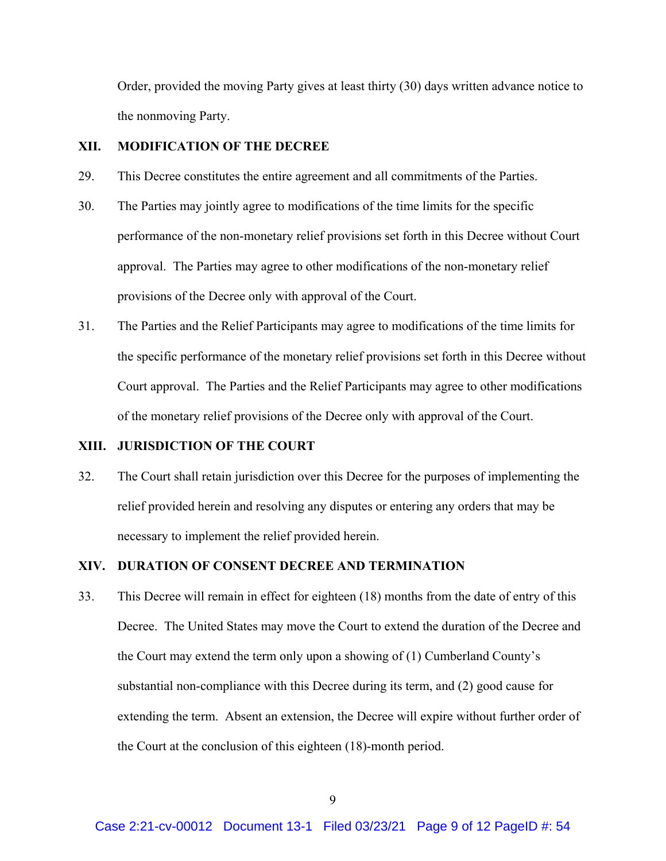Order, provided the moving Party gives at least thirty (30) days written advance notice to the nonmoving Party.

#### **XII. MODIFICATION OF THE DECREE**

- This Decree constitutes the entire agreement and all commitments of the Parties.
- 29. This Decree constitutes the entire agreement and all commitments of the Parties. 30. The Parties may jointly agree to modifications of the time limits for the specific performance of the non-monetary relief provisions set forth in this Decree without Court approval. The Parties may agree to other modifications of the non-monetary relief provisions of the Decree only with approval of the Court.
- Court approval. The Parties and the Relief Participants may agree to other modifications 31. The Parties and the Relief Participants may agree to modifications of the time limits for the specific performance of the monetary relief provisions set forth in this Decree without of the monetary relief provisions of the Decree only with approval of the Court.

# **XIII. JURISDICTION OF THE COURT**

32. The Court shall retain jurisdiction over this Decree for the purposes of implementing the relief provided herein and resolving any disputes or entering any orders that may be necessary to implement the relief provided herein.

### **XIV. DURATION OF CONSENT DECREE AND TERMINATION**

33. This Decree will remain in effect for eighteen (18) months from the date of entry of this Decree. The United States may move the Court to extend the duration of the Decree and the Court may extend the term only upon a showing of (1) Cumberland County's substantial non-compliance with this Decree during its term, and (2) good cause for extending the term. Absent an extension, the Decree will expire without further order of the Court at the conclusion of this eighteen (18)-month period.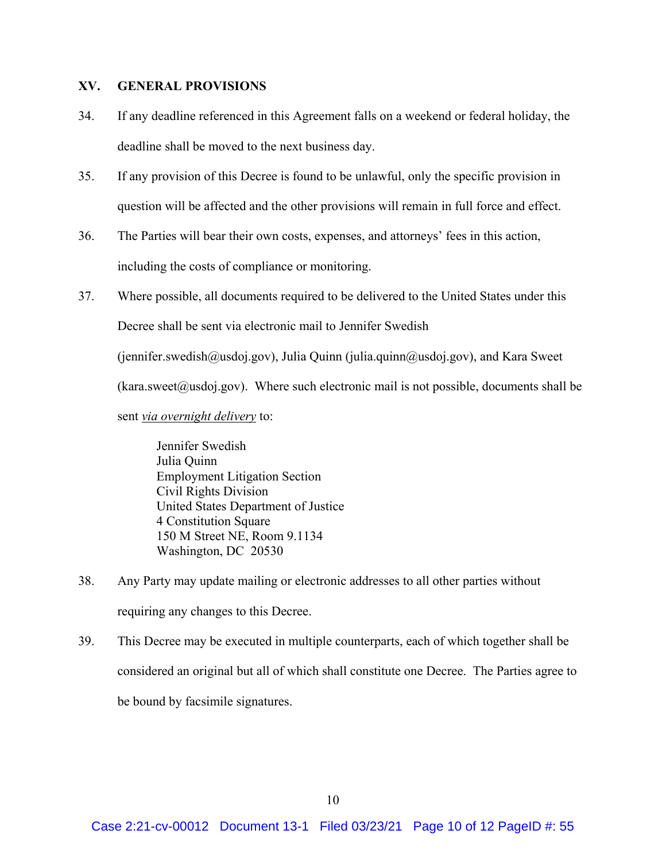## **XV. GENERAL PROVISIONS**

- 34. If any deadline referenced in this Agreement falls on a weekend or federal holiday, the deadline shall be moved to the next business day.
- 35. If any provision of this Decree is found to be unlawful, only the specific provision in question will be affected and the other provisions will remain in full force and effect.
- including the costs of compliance or monitoring. 36. The Parties will bear their own costs, expenses, and attorneys' fees in this action,
- ([jennifer.swedish@usdoj.gov](mailto:jennifer.swedish@usdoj.gov)), Julia Quinn ([julia.quinn@usdoj.gov](mailto:julia.quinn@usdoj.gov)), and Kara Sweet 37. Where possible, all documents required to be delivered to the United States under this Decree shall be sent via electronic mail to Jennifer Swedish  $(kara.sweet@usdoj.gov)$  $(kara.sweet@usdoj.gov)$  $(kara.sweet@usdoj.gov)$ . Where such electronic mail is not possible, documents shall be sent *via overnight delivery* to:

Jennifer Swedish Julia Quinn Employment Litigation Section Civil Rights Division United States Department of Justice 4 Constitution Square 150 M Street NE, Room 9.1134 Washington, DC 20530

- 38. Any Party may update mailing or electronic addresses to all other parties without requiring any changes to this Decree.
- 39. This Decree may be executed in multiple counterparts, each of which together shall be considered an original but all of which shall constitute one Decree. The Parties agree to be bound by facsimile signatures.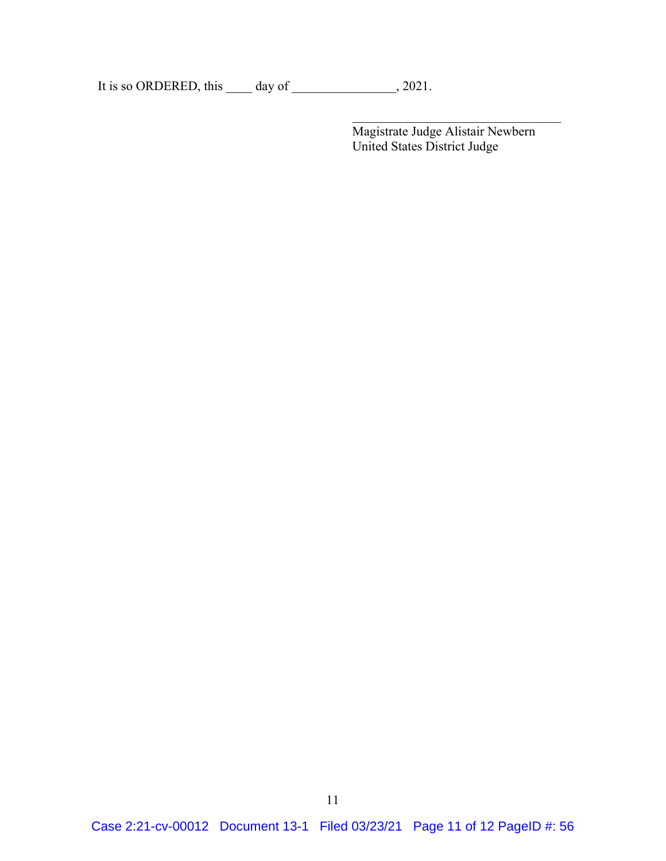It is so ORDERED, this \_\_\_\_ day of \_\_\_\_\_\_\_\_\_\_\_\_\_, 2021.

 $\mathcal{L} = \{ \mathcal{L} \mid \mathcal{L} \in \mathcal{L} \}$  , where  $\mathcal{L} = \{ \mathcal{L} \mid \mathcal{L} \in \mathcal{L} \}$  , where  $\mathcal{L} = \{ \mathcal{L} \mid \mathcal{L} \in \mathcal{L} \}$  , where  $\mathcal{L} = \{ \mathcal{L} \mid \mathcal{L} \in \mathcal{L} \}$ 

Magistrate Judge Alistair Newbern United States District Judge